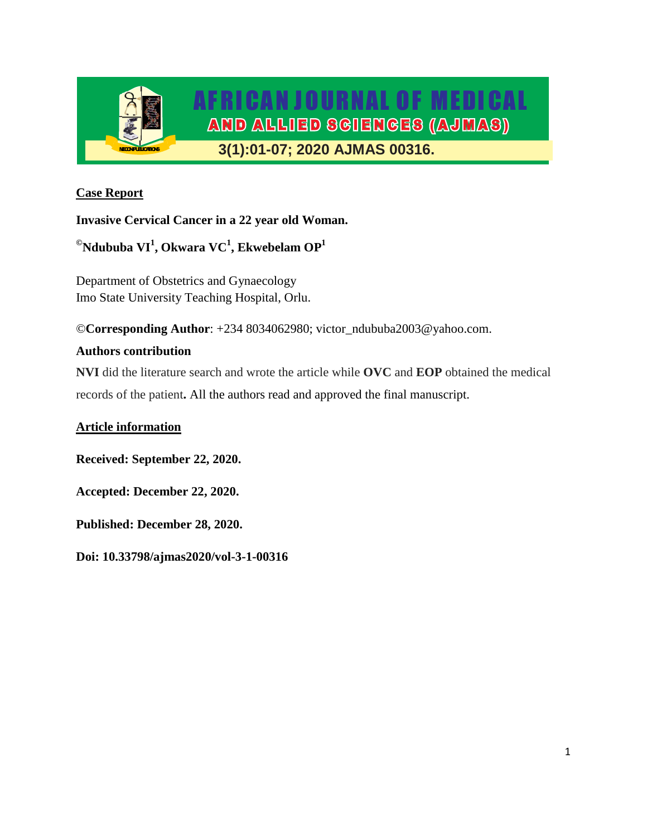

# **Case Report**

**Invasive Cervical Cancer in a 22 year old Woman.**

**©Ndububa VI<sup>1</sup> , Okwara VC<sup>1</sup> , Ekwebelam OP<sup>1</sup>**

Department of Obstetrics and Gynaecology Imo State University Teaching Hospital, Orlu.

©**Corresponding Author**: +234 8034062980; victor\_ndububa2003@yahoo.com.

# **Authors contribution**

**NVI** did the literature search and wrote the article while **OVC** and **EOP** obtained the medical records of the patient**.** All the authors read and approved the final manuscript.

# **Article information**

**Received: September 22, 2020.**

**Accepted: December 22, 2020.**

**Published: December 28, 2020.**

**Doi: 10.33798/ajmas2020/vol-3-1-00316**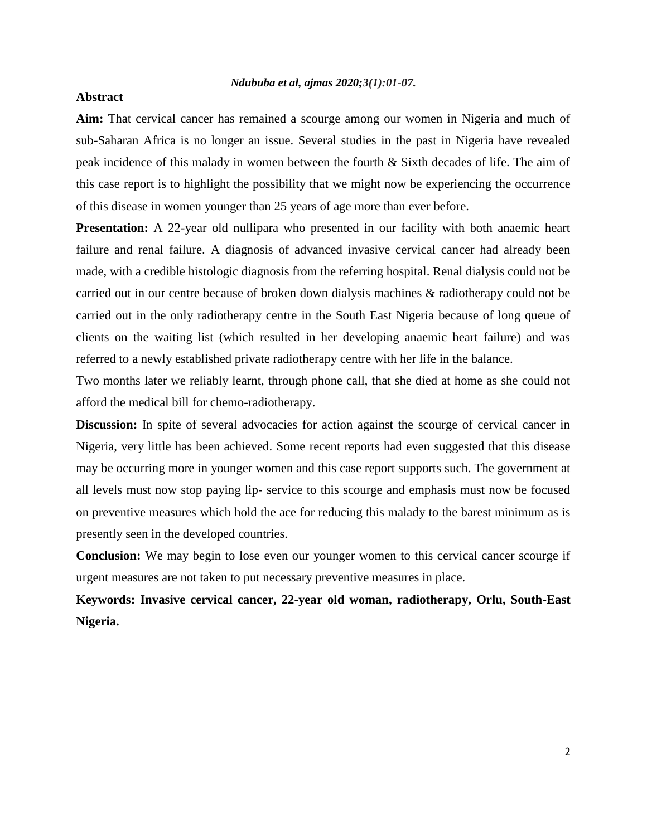### **Abstract**

**Aim:** That cervical cancer has remained a scourge among our women in Nigeria and much of sub-Saharan Africa is no longer an issue. Several studies in the past in Nigeria have revealed peak incidence of this malady in women between the fourth & Sixth decades of life. The aim of this case report is to highlight the possibility that we might now be experiencing the occurrence of this disease in women younger than 25 years of age more than ever before.

**Presentation:** A 22-year old nullipara who presented in our facility with both anaemic heart failure and renal failure. A diagnosis of advanced invasive cervical cancer had already been made, with a credible histologic diagnosis from the referring hospital. Renal dialysis could not be carried out in our centre because of broken down dialysis machines & radiotherapy could not be carried out in the only radiotherapy centre in the South East Nigeria because of long queue of clients on the waiting list (which resulted in her developing anaemic heart failure) and was referred to a newly established private radiotherapy centre with her life in the balance.

Two months later we reliably learnt, through phone call, that she died at home as she could not afford the medical bill for chemo-radiotherapy.

**Discussion:** In spite of several advocacies for action against the scourge of cervical cancer in Nigeria, very little has been achieved. Some recent reports had even suggested that this disease may be occurring more in younger women and this case report supports such. The government at all levels must now stop paying lip- service to this scourge and emphasis must now be focused on preventive measures which hold the ace for reducing this malady to the barest minimum as is presently seen in the developed countries.

**Conclusion:** We may begin to lose even our younger women to this cervical cancer scourge if urgent measures are not taken to put necessary preventive measures in place.

**Keywords: Invasive cervical cancer, 22-year old woman, radiotherapy, Orlu, South-East Nigeria.**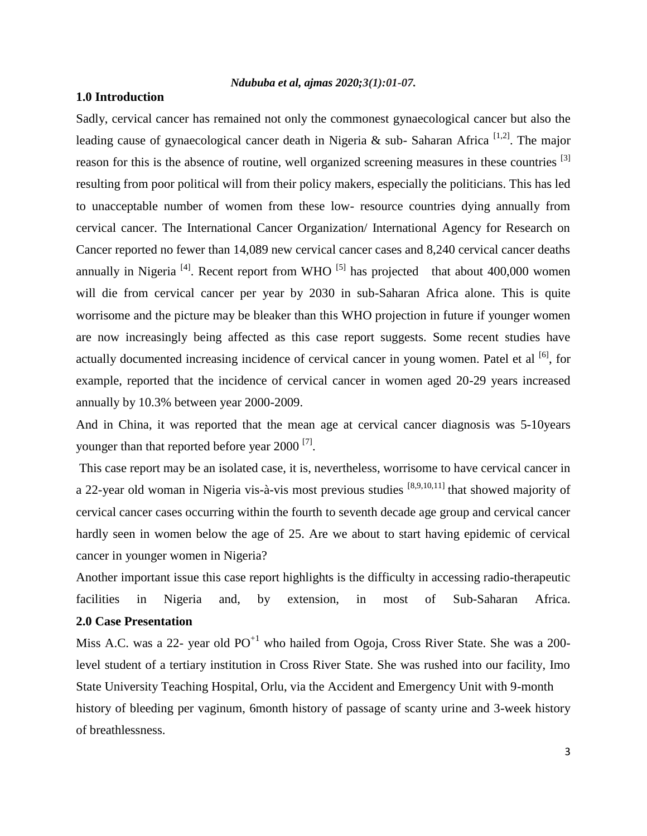### **1.0 Introduction**

Sadly, cervical cancer has remained not only the commonest gynaecological cancer but also the leading cause of gynaecological cancer death in Nigeria & sub- Saharan Africa  $^{[1,2]}$ . The major reason for this is the absence of routine, well organized screening measures in these countries <sup>[3]</sup> resulting from poor political will from their policy makers, especially the politicians. This has led to unacceptable number of women from these low- resource countries dying annually from cervical cancer. The International Cancer Organization/ International Agency for Research on Cancer reported no fewer than 14,089 new cervical cancer cases and 8,240 cervical cancer deaths annually in Nigeria<sup>[4]</sup>. Recent report from WHO<sup>[5]</sup> has projected that about 400,000 women will die from cervical cancer per year by 2030 in sub-Saharan Africa alone. This is quite worrisome and the picture may be bleaker than this WHO projection in future if younger women are now increasingly being affected as this case report suggests. Some recent studies have actually documented increasing incidence of cervical cancer in young women. Patel et al <sup>[6]</sup>, for example, reported that the incidence of cervical cancer in women aged 20-29 years increased annually by 10.3% between year 2000-2009.

And in China, it was reported that the mean age at cervical cancer diagnosis was 5-10years younger than that reported before year 2000  $^{[7]}$ .

This case report may be an isolated case, it is, nevertheless, worrisome to have cervical cancer in a 22-year old woman in Nigeria vis-à-vis most previous studies <sup>[8,9,10,11]</sup> that showed majority of cervical cancer cases occurring within the fourth to seventh decade age group and cervical cancer hardly seen in women below the age of 25. Are we about to start having epidemic of cervical cancer in younger women in Nigeria?

Another important issue this case report highlights is the difficulty in accessing radio-therapeutic facilities in Nigeria and, by extension, in most of Sub-Saharan Africa. **2.0 Case Presentation**

Miss A.C. was a 22- year old  $PO<sup>+1</sup>$  who hailed from Ogoja, Cross River State. She was a 200level student of a tertiary institution in Cross River State. She was rushed into our facility, Imo State University Teaching Hospital, Orlu, via the Accident and Emergency Unit with 9-month history of bleeding per vaginum, 6month history of passage of scanty urine and 3-week history of breathlessness.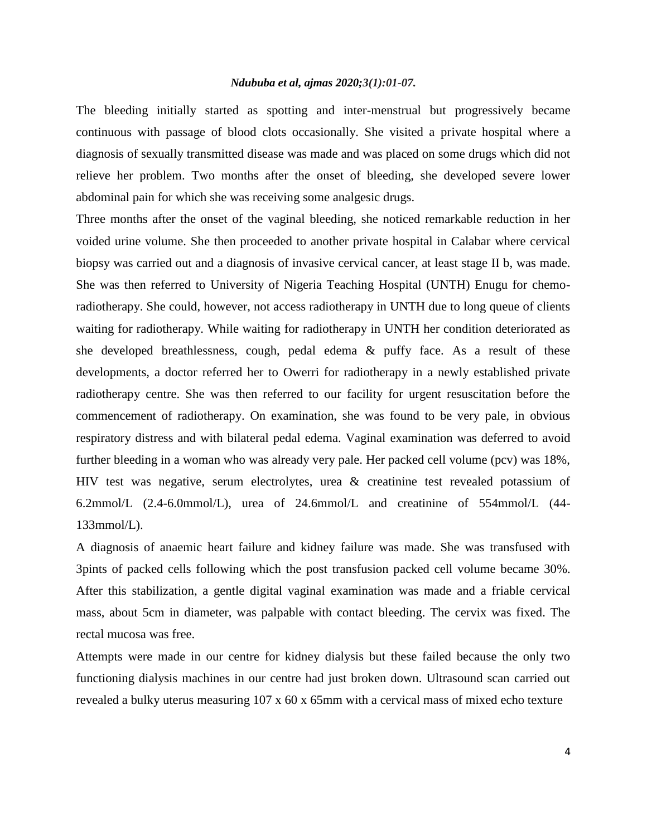The bleeding initially started as spotting and inter-menstrual but progressively became continuous with passage of blood clots occasionally. She visited a private hospital where a diagnosis of sexually transmitted disease was made and was placed on some drugs which did not relieve her problem. Two months after the onset of bleeding, she developed severe lower abdominal pain for which she was receiving some analgesic drugs.

Three months after the onset of the vaginal bleeding, she noticed remarkable reduction in her voided urine volume. She then proceeded to another private hospital in Calabar where cervical biopsy was carried out and a diagnosis of invasive cervical cancer, at least stage II b, was made. She was then referred to University of Nigeria Teaching Hospital (UNTH) Enugu for chemoradiotherapy. She could, however, not access radiotherapy in UNTH due to long queue of clients waiting for radiotherapy. While waiting for radiotherapy in UNTH her condition deteriorated as she developed breathlessness, cough, pedal edema & puffy face. As a result of these developments, a doctor referred her to Owerri for radiotherapy in a newly established private radiotherapy centre. She was then referred to our facility for urgent resuscitation before the commencement of radiotherapy. On examination, she was found to be very pale, in obvious respiratory distress and with bilateral pedal edema. Vaginal examination was deferred to avoid further bleeding in a woman who was already very pale. Her packed cell volume (pcv) was 18%, HIV test was negative, serum electrolytes, urea & creatinine test revealed potassium of 6.2mmol/L (2.4-6.0mmol/L), urea of 24.6mmol/L and creatinine of 554mmol/L (44- 133mmol/L).

A diagnosis of anaemic heart failure and kidney failure was made. She was transfused with 3pints of packed cells following which the post transfusion packed cell volume became 30%. After this stabilization, a gentle digital vaginal examination was made and a friable cervical mass, about 5cm in diameter, was palpable with contact bleeding. The cervix was fixed. The rectal mucosa was free.

Attempts were made in our centre for kidney dialysis but these failed because the only two functioning dialysis machines in our centre had just broken down. Ultrasound scan carried out revealed a bulky uterus measuring 107 x 60 x 65mm with a cervical mass of mixed echo texture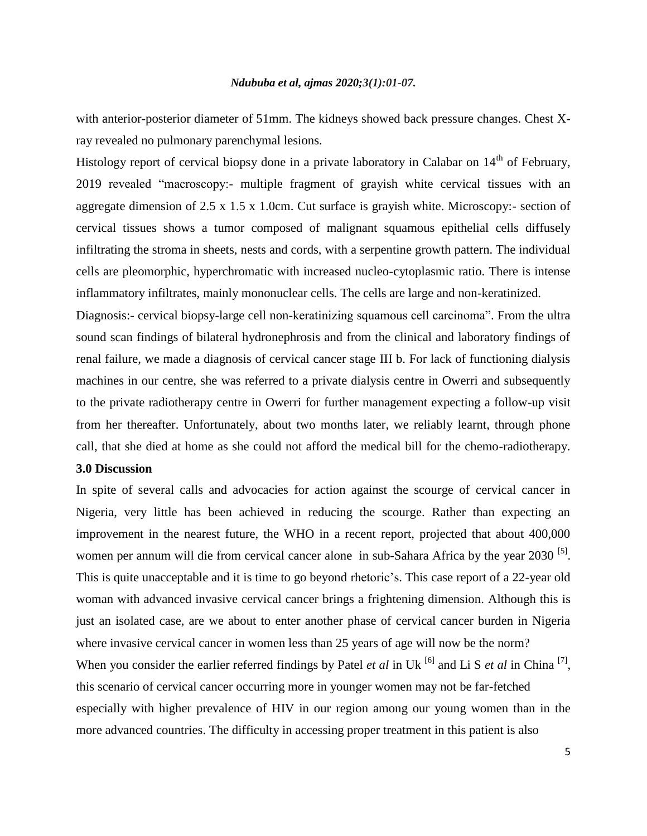with anterior-posterior diameter of 51mm. The kidneys showed back pressure changes. Chest Xray revealed no pulmonary parenchymal lesions.

Histology report of cervical biopsy done in a private laboratory in Calabar on  $14<sup>th</sup>$  of February, 2019 revealed "macroscopy:- multiple fragment of grayish white cervical tissues with an aggregate dimension of  $2.5 \times 1.5 \times 1.0$ cm. Cut surface is grayish white. Microscopy:- section of cervical tissues shows a tumor composed of malignant squamous epithelial cells diffusely infiltrating the stroma in sheets, nests and cords, with a serpentine growth pattern. The individual cells are pleomorphic, hyperchromatic with increased nucleo-cytoplasmic ratio. There is intense inflammatory infiltrates, mainly mononuclear cells. The cells are large and non-keratinized.

Diagnosis:- cervical biopsy-large cell non-keratinizing squamous cell carcinoma". From the ultra sound scan findings of bilateral hydronephrosis and from the clinical and laboratory findings of renal failure, we made a diagnosis of cervical cancer stage III b. For lack of functioning dialysis machines in our centre, she was referred to a private dialysis centre in Owerri and subsequently to the private radiotherapy centre in Owerri for further management expecting a follow-up visit from her thereafter. Unfortunately, about two months later, we reliably learnt, through phone call, that she died at home as she could not afford the medical bill for the chemo-radiotherapy.

### **3.0 Discussion**

In spite of several calls and advocacies for action against the scourge of cervical cancer in Nigeria, very little has been achieved in reducing the scourge. Rather than expecting an improvement in the nearest future, the WHO in a recent report, projected that about 400,000 women per annum will die from cervical cancer alone in sub-Sahara Africa by the year 2030<sup>[5]</sup>. This is quite unacceptable and it is time to go beyond rhetoric's. This case report of a 22-year old woman with advanced invasive cervical cancer brings a frightening dimension. Although this is just an isolated case, are we about to enter another phase of cervical cancer burden in Nigeria where invasive cervical cancer in women less than 25 years of age will now be the norm? When you consider the earlier referred findings by Patel *et al* in Uk<sup>[6]</sup> and Li S *et al* in China<sup>[7]</sup>, this scenario of cervical cancer occurring more in younger women may not be far-fetched especially with higher prevalence of HIV in our region among our young women than in the more advanced countries. The difficulty in accessing proper treatment in this patient is also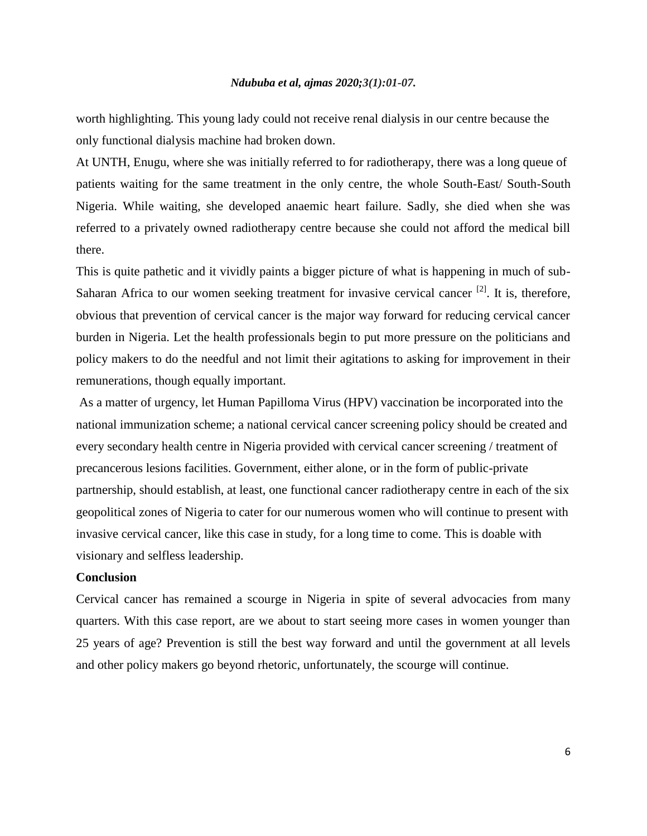worth highlighting. This young lady could not receive renal dialysis in our centre because the only functional dialysis machine had broken down.

At UNTH, Enugu, where she was initially referred to for radiotherapy, there was a long queue of patients waiting for the same treatment in the only centre, the whole South-East/ South-South Nigeria. While waiting, she developed anaemic heart failure. Sadly, she died when she was referred to a privately owned radiotherapy centre because she could not afford the medical bill there.

This is quite pathetic and it vividly paints a bigger picture of what is happening in much of sub-Saharan Africa to our women seeking treatment for invasive cervical cancer  $[2]$ . It is, therefore, obvious that prevention of cervical cancer is the major way forward for reducing cervical cancer burden in Nigeria. Let the health professionals begin to put more pressure on the politicians and policy makers to do the needful and not limit their agitations to asking for improvement in their remunerations, though equally important.

As a matter of urgency, let Human Papilloma Virus (HPV) vaccination be incorporated into the national immunization scheme; a national cervical cancer screening policy should be created and every secondary health centre in Nigeria provided with cervical cancer screening / treatment of precancerous lesions facilities. Government, either alone, or in the form of public-private partnership, should establish, at least, one functional cancer radiotherapy centre in each of the six geopolitical zones of Nigeria to cater for our numerous women who will continue to present with invasive cervical cancer, like this case in study, for a long time to come. This is doable with visionary and selfless leadership.

### **Conclusion**

Cervical cancer has remained a scourge in Nigeria in spite of several advocacies from many quarters. With this case report, are we about to start seeing more cases in women younger than 25 years of age? Prevention is still the best way forward and until the government at all levels and other policy makers go beyond rhetoric, unfortunately, the scourge will continue.